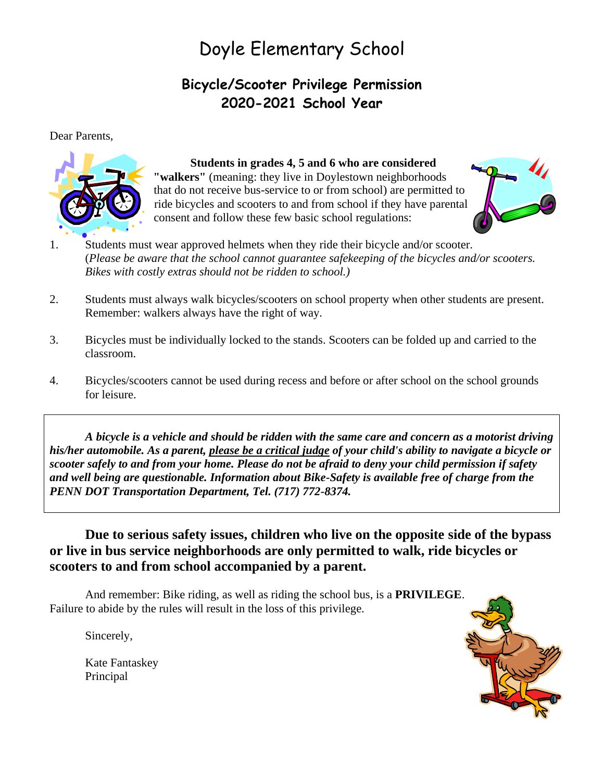## Doyle Elementary School

### **Bicycle/Scooter Privilege Permission 2020-2021 School Year**

Dear Parents,



#### **Students in grades 4, 5 and 6 who are considered**

**"walkers"** (meaning: they live in Doylestown neighborhoods that do not receive bus-service to or from school) are permitted to ride bicycles and scooters to and from school if they have parental consent and follow these few basic school regulations:



- 1. Students must wear approved helmets when they ride their bicycle and/or scooter. (*Please be aware that the school cannot guarantee safekeeping of the bicycles and/or scooters. Bikes with costly extras should not be ridden to school.)*
- 2. Students must always walk bicycles/scooters on school property when other students are present. Remember: walkers always have the right of way.
- 3. Bicycles must be individually locked to the stands. Scooters can be folded up and carried to the classroom.
- 4. Bicycles/scooters cannot be used during recess and before or after school on the school grounds for leisure.

*A bicycle is a vehicle and should be ridden with the same care and concern as a motorist driving his/her automobile. As a parent, please be a critical judge of your child's ability to navigate a bicycle or scooter safely to and from your home. Please do not be afraid to deny your child permission if safety and well being are questionable. Information about Bike-Safety is available free of charge from the PENN DOT Transportation Department, Tel. (717) 772-8374.*

**Due to serious safety issues, children who live on the opposite side of the bypass or live in bus service neighborhoods are only permitted to walk, ride bicycles or scooters to and from school accompanied by a parent.** 

And remember: Bike riding, as well as riding the school bus, is a **PRIVILEGE**. Failure to abide by the rules will result in the loss of this privilege.

Sincerely,

Kate Fantaskey Principal